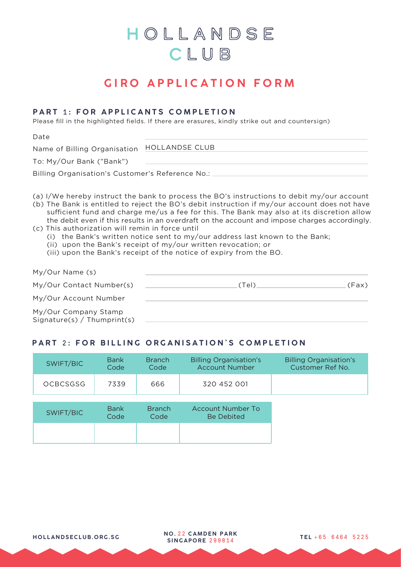# HOLLANDSE CLUB

# **GIRO APPLICATION FORM**

### **PART** 1 **: FOR APPLICANTS COMPLETION**

Please fill in the highlighted fields. If there are erasures, kindly strike out and countersign)

Date

| Name of Billing Organisation HOLLANDSE CLUB         |  |
|-----------------------------------------------------|--|
| $T \sim M_{11}/Q_{116} D \sim L^{19} D \sim L^{19}$ |  |

To: My/Our Bank ("Bank")

Billing Organisation's Customer's Reference No.:

- (a) I/We hereby instruct the bank to process the BO's instructions to debit my/our account
- (b) The Bank is entitled to reject the BO's debit instruction if my/our account does not have sufficient fund and charge me/us a fee for this. The Bank may also at its discretion allow the debit even if this results in an overdraft on the account and impose charges accordingly. (c) This authorization will remin in force until
	- (i) the Bank's written notice sent to my/our address last known to the Bank;
	- (ii) upon the Bank's receipt of my/our written revocation; or
	- (iii) upon the Bank's receipt of the notice of expiry from the BO.

| My/Our Name (s)                                     |        |       |
|-----------------------------------------------------|--------|-------|
| My/Our Contact Number(s)                            | .(Tel) | (Fax) |
| My/Our Account Number                               |        |       |
| My/Our Company Stamp<br>Signature(s) / Thumprint(s) |        |       |

### **PART 2: FOR BILLING ORGANISATION'S COMPLETION**

| SWIFT/BIC       | <b>Bank</b> | <b>Branch</b> | <b>Billing Organisation's</b> | <b>Billing Organisation's</b> |
|-----------------|-------------|---------------|-------------------------------|-------------------------------|
|                 | Code        | Code          | <b>Account Number</b>         | Customer Ref No.              |
| <b>OCBCSGSG</b> | 7339        | 666           | 320 452 001                   |                               |

| SWIFT/BIC | <b>Bank</b> | <b>Branch</b> | Account Number To |
|-----------|-------------|---------------|-------------------|
|           | Code        | Code          | <b>Be Debited</b> |
|           |             |               |                   |

**<sup>H</sup> <sup>O</sup> LLANDSE CLUB.OR <sup>G</sup> .S <sup>G</sup> TEL** <sup>+</sup> 65 6464 522 <sup>5</sup> **<sup>N</sup> <sup>O</sup> .** <sup>2</sup> <sup>2</sup> **CAMD EN P AR <sup>K</sup> SING AP O RE** 29981 4